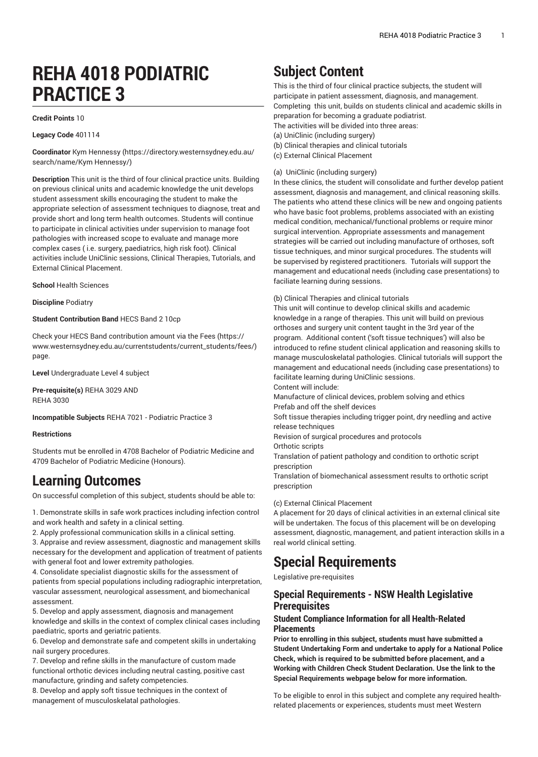# **REHA 4018 PODIATRIC PRACTICE 3**

#### **Credit Points** 10

**Legacy Code** 401114

**Coordinator** Kym [Hennessy](https://directory.westernsydney.edu.au/search/name/Kym Hennessy/) ([https://directory.westernsydney.edu.au/](https://directory.westernsydney.edu.au/search/name/Kym Hennessy/) [search/name/Kym](https://directory.westernsydney.edu.au/search/name/Kym Hennessy/) Hennessy/)

**Description** This unit is the third of four clinical practice units. Building on previous clinical units and academic knowledge the unit develops student assessment skills encouraging the student to make the appropriate selection of assessment techniques to diagnose, treat and provide short and long term health outcomes. Students will continue to participate in clinical activities under supervision to manage foot pathologies with increased scope to evaluate and manage more complex cases ( i.e. surgery, paediatrics, high risk foot). Clinical activities include UniClinic sessions, Clinical Therapies, Tutorials, and External Clinical Placement.

**School** Health Sciences

**Discipline** Podiatry

#### **Student Contribution Band** HECS Band 2 10cp

Check your HECS Band contribution amount via the [Fees \(https://](https://www.westernsydney.edu.au/currentstudents/current_students/fees/) [www.westernsydney.edu.au/currentstudents/current\\_students/fees/\)](https://www.westernsydney.edu.au/currentstudents/current_students/fees/) page.

**Level** Undergraduate Level 4 subject

**Pre-requisite(s)** [REHA](/search/?P=REHA%203029) 3029 AND [REHA](/search/?P=REHA%203030) 3030

**Incompatible Subjects** REHA 7021 - Podiatric Practice 3

#### **Restrictions**

Students mut be enrolled in 4708 Bachelor of Podiatric Medicine and 4709 Bachelor of Podiatric Medicine (Honours).

### **Learning Outcomes**

On successful completion of this subject, students should be able to:

1. Demonstrate skills in safe work practices including infection control and work health and safety in a clinical setting.

2. Apply professional communication skills in a clinical setting.

3. Appraise and review assessment, diagnostic and management skills necessary for the development and application of treatment of patients with general foot and lower extremity pathologies.

4. Consolidate specialist diagnostic skills for the assessment of patients from special populations including radiographic interpretation, vascular assessment, neurological assessment, and biomechanical assessment.

5. Develop and apply assessment, diagnosis and management knowledge and skills in the context of complex clinical cases including paediatric, sports and geriatric patients.

6. Develop and demonstrate safe and competent skills in undertaking nail surgery procedures.

7. Develop and refine skills in the manufacture of custom made functional orthotic devices including neutral casting, positive cast manufacture, grinding and safety competencies.

8. Develop and apply soft tissue techniques in the context of management of musculoskelatal pathologies.

## **Subject Content**

This is the third of four clinical practice subjects, the student will participate in patient assessment, diagnosis, and management. Completing this unit, builds on students clinical and academic skills in preparation for becoming a graduate podiatrist. The activities will be divided into three areas: (a) UniClinic (including surgery) (b) Clinical therapies and clinical tutorials

(c) External Clinical Placement

#### (a) UniClinic (including surgery)

In these clinics, the student will consolidate and further develop patient assessment, diagnosis and management, and clinical reasoning skills. The patients who attend these clinics will be new and ongoing patients who have basic foot problems, problems associated with an existing medical condition, mechanical/functional problems or require minor surgical intervention. Appropriate assessments and management strategies will be carried out including manufacture of orthoses, soft tissue techniques, and minor surgical procedures. The students will be supervised by registered practitioners. Tutorials will support the management and educational needs (including case presentations) to faciliate learning during sessions.

(b) Clinical Therapies and clinical tutorials

This unit will continue to develop clinical skills and academic knowledge in a range of therapies. This unit will build on previous orthoses and surgery unit content taught in the 3rd year of the program. Additional content ('soft tissue techniques') will also be introduced to refine student clinical application and reasoning skills to manage musculoskelatal pathologies. Clinical tutorials will support the management and educational needs (including case presentations) to facilitate learning during UniClinic sessions. Content will include:

Manufacture of clinical devices, problem solving and ethics Prefab and off the shelf devices

Soft tissue therapies including trigger point, dry needling and active release techniques

Revision of surgical procedures and protocols

Orthotic scripts

Translation of patient pathology and condition to orthotic script prescription

Translation of biomechanical assessment results to orthotic script prescription

#### (c) External Clinical Placement

A placement for 20 days of clinical activities in an external clinical site will be undertaken. The focus of this placement will be on developing assessment, diagnostic, management, and patient interaction skills in a real world clinical setting.

### **Special Requirements**

Legislative pre-requisites

### **Special Requirements - NSW Health Legislative Prerequisites**

#### **Student Compliance Information for all Health-Related Placements**

**Prior to enrolling in this subject, students must have submitted a Student Undertaking Form and undertake to apply for a National Police Check, which is required to be submitted before placement, and a Working with Children Check Student Declaration. Use the link to the Special Requirements webpage below for more information.**

To be eligible to enrol in this subject and complete any required healthrelated placements or experiences, students must meet Western